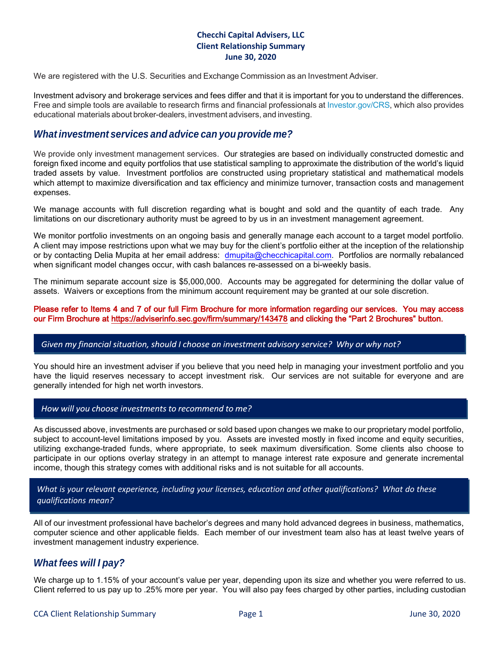## **Checchi Capital Advisers, LLC Client Relationship Summary June 30, 2020**

We are registered with the U.S. Securities and Exchange Commission as an Investment Adviser.

Investment advisory and brokerage services and fees differ and that it is important for you to understand the differences. Free and simple tools are available to research firms and financial professionals at [Investor.gov/CRS,](http://investor.gov/CRS) which also provides educational materials about broker-dealers, investment advisers, and investing.

## *What investment services and advice can you provideme?*

We provide only investment management services. Our strategies are based on individually constructed domestic and foreign fixed income and equity portfolios that use statistical sampling to approximate the distribution of the world's liquid traded assets by value. Investment portfolios are constructed using proprietary statistical and mathematical models which attempt to maximize diversification and tax efficiency and minimize turnover, transaction costs and management expenses.

We manage accounts with full discretion regarding what is bought and sold and the quantity of each trade. Any limitations on our discretionary authority must be agreed to by us in an investment management agreement.

We monitor portfolio investments on an ongoing basis and generally manage each account to a target model portfolio. A client may impose restrictions upon what we may buy for the client's portfolio either at the inception of the relationship or by contacting Delia Mupita at her email address: [dmupita@checchicapital.com.](mailto:dmupita@checchicapital.com) Portfolios are normally rebalanced when significant model changes occur, with cash balances re-assessed on a bi-weekly basis.

The minimum separate account size is \$5,000,000. Accounts may be aggregated for determining the dollar value of assets. Waivers or exceptions from the minimum account requirement may be granted at our sole discretion.

### Please refer to Items 4 and 7 of our full Firm Brochure for more information regarding our services. You may access our Firm Brochure at<https://adviserinfo.sec.gov/firm/summary/143478>and clicking the "Part 2 Brochures" button.

#### Given my financial situation, should I choose an investment advisory service? Why or why not?

You should hire an investment adviser if you believe that you need help in managing your investment portfolio and you have the liquid reserves necessary to accept investment risk. Our services are not suitable for everyone and are generally intended for high net worth investors.

#### How will you choose investments to recommend to me?

As discussed above, investments are purchased or sold based upon changes we make to our proprietary model portfolio, subject to account-level limitations imposed by you. Assets are invested mostly in fixed income and equity securities, utilizing exchange-traded funds, where appropriate, to seek maximum diversification. Some clients also choose to participate in our options overlay strategy in an attempt to manage interest rate exposure and generate incremental income, though this strategy comes with additional risks and is not suitable for all accounts.

## *What is your relevant experience, including your licenses, education and other qualifications? What do these qualifications mean?*

All of our investment professional have bachelor's degrees and many hold advanced degrees in business, mathematics, computer science and other applicable fields. Each member of our investment team also has at least twelve years of investment management industry experience.

## *What fees will I pay?*

We charge up to 1.15% of your account's value per year, depending upon its size and whether you were referred to us. Client referred to us pay up to .25% more per year. You will also pay fees charged by other parties, including custodian